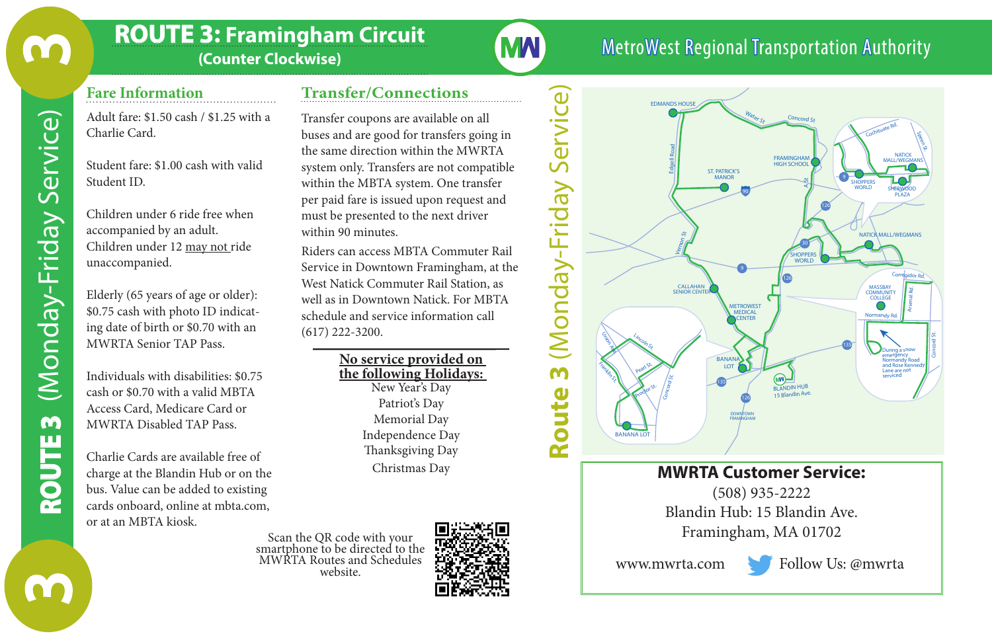### **ROUTE 3: Framingham Circuit**

**(Counter Clockwise)**

# **Transfer/Connections**

**MAI** 

#### **Fare Information**

Adult fare: \$1.50 cash / \$1.25 with a Charlie Card.

Student fare: \$1.00 cash with valid Student ID.

Children under 6 ride free when accompanied by an adult. Children under 12 may not ride unaccompanied.

Elderly (65 years of age or older): \$0.75 cash with photo ID indicating date of birth or \$0.70 with an MWRTA Senior TAP Pass.

Individuals with disabilities: \$0.75 cash or \$0.70 with a valid MBTA Access Card, Medicare Card or MWRTA Disabled TAP Pass.

Charlie Cards are available free of charge at the Blandin Hub or on the bus. Value can be added to existing cards onboard, online at mbta.com, or at an MBTA kiosk.

Transfer coupons are available on all buses and are good for transfers going in the same direction within the MWRTA system only. Transfers are not compatible within the MBTA system. One transfer per paid fare is issued upon request and must be presented to the next driver within 90 minutes.

Riders can access MBTA Commuter Rail Service in Downtown Framingham, at the West Natick Commuter Rail Station, as well as in Downtown Natick. For MBTA schedule and service information call (617) 222-3200.

> **No service provided on the following Holidays:** New Year's Day Patriot's Day Memorial Day Independence Day Thanksgiving Day Christmas Day

Scan the QR code with your smartphone to be directed to the MWRTA Routes and Schedules website.





MetroWest Regional Transportation Authority

### **MWRTA Customer Service:**

**DOWNTOWN FRAM***INGHAM* 

(508) 935-2222 Blandin Hub: 15 Blandin Ave. Framingham, MA 01702

**BANANA** 

www.mwrta.com Follow Us: @mwrta

Speen St.

Concord St.

Arsenal Rd

 $\mathbf{u}$ 

M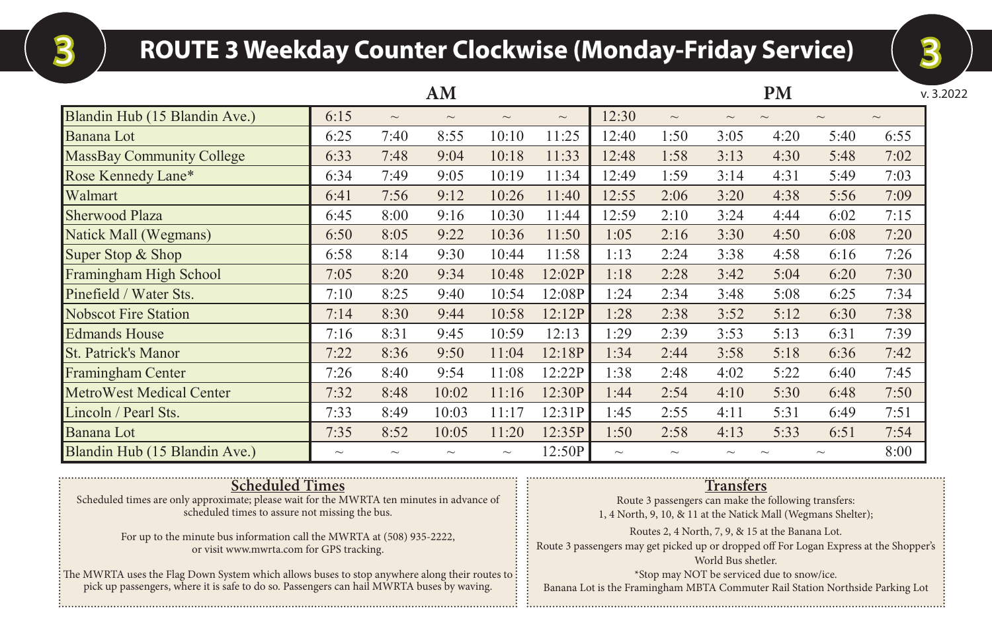## **ROUTE 3 Weekday Counter Clockwise (Monday-Friday Service)** 3 3

|                               |                           |        | AM                        |          |                           |          |                           |        | <b>PM</b>                |        | v. 3.2022 |
|-------------------------------|---------------------------|--------|---------------------------|----------|---------------------------|----------|---------------------------|--------|--------------------------|--------|-----------|
| Blandin Hub (15 Blandin Ave.) | 6:15                      | $\sim$ | $\sim$                    | $\sim$   | $\widetilde{\phantom{m}}$ | 12:30    | $\sim$                    | $\sim$ | $\overline{\phantom{0}}$ | $\sim$ | $\sim$    |
| Banana Lot                    | 6:25                      | 7:40   | 8:55                      | 10:10    | 11:25                     | 12:40    | 1:50                      | 3:05   | 4:20                     | 5:40   | 6:55      |
| MassBay Community College     | 6:33                      | 7:48   | 9:04                      | 10:18    | 11:33                     | 12:48    | 1:58                      | 3:13   | 4:30                     | 5:48   | 7:02      |
| Rose Kennedy Lane*            | 6:34                      | 7:49   | 9:05                      | 10:19    | 11:34                     | 12:49    | 1:59                      | 3:14   | 4:31                     | 5:49   | 7:03      |
| Walmart                       | 6:41                      | 7:56   | 9:12                      | 10:26    | 11:40                     | 12:55    | 2:06                      | 3:20   | 4:38                     | 5:56   | 7:09      |
| Sherwood Plaza                | 6:45                      | 8:00   | 9:16                      | 10:30    | 11:44                     | 12:59    | 2:10                      | 3:24   | 4:44                     | 6:02   | 7:15      |
| Natick Mall (Wegmans)         | 6:50                      | 8:05   | 9:22                      | 10:36    | 11:50                     | 1:05     | 2:16                      | 3:30   | 4:50                     | 6:08   | 7:20      |
| Super Stop & Shop             | 6:58                      | 8:14   | 9:30                      | 10:44    | 11:58                     | 1:13     | 2:24                      | 3:38   | 4:58                     | 6:16   | 7:26      |
| Framingham High School        | 7:05                      | 8:20   | 9:34                      | 10:48    | 12:02P                    | 1:18     | 2:28                      | 3:42   | 5:04                     | 6:20   | 7:30      |
| Pinefield / Water Sts.        | 7:10                      | 8:25   | 9:40                      | 10:54    | 12:08P                    | 1:24     | 2:34                      | 3:48   | 5:08                     | 6:25   | 7:34      |
| Nobscot Fire Station          | 7:14                      | 8:30   | 9:44                      | 10:58    | 12:12P                    | 1:28     | 2:38                      | 3:52   | 5:12                     | 6:30   | 7:38      |
| <b>Edmands House</b>          | 7:16                      | 8:31   | 9:45                      | 10:59    | 12:13                     | 1:29     | 2:39                      | 3:53   | 5:13                     | 6:31   | 7:39      |
| <b>St. Patrick's Manor</b>    | 7:22                      | 8:36   | 9:50                      | 11:04    | 12:18P                    | 1:34     | 2:44                      | 3:58   | 5:18                     | 6:36   | 7:42      |
| Framingham Center             | 7:26                      | 8:40   | 9:54                      | 11:08    | 12:22P                    | 1:38     | 2:48                      | 4:02   | 5:22                     | 6:40   | 7:45      |
| MetroWest Medical Center      | 7:32                      | 8:48   | 10:02                     | 11:16    | 12:30P                    | 1:44     | 2:54                      | 4:10   | 5:30                     | 6:48   | 7:50      |
| Lincoln / Pearl Sts.          | 7:33                      | 8:49   | 10:03                     | 11:17    | 12:31P                    | 1:45     | 2:55                      | 4:11   | 5:31                     | 6:49   | 7:51      |
| <b>Banana</b> Lot             | 7:35                      | 8:52   | 10:05                     | 11:20    | 12:35P                    | 1:50     | 2:58                      | 4:13   | 5:33                     | 6:51   | 7:54      |
| Blandin Hub (15 Blandin Ave.) | $\widetilde{\phantom{m}}$ |        | $\widetilde{\phantom{m}}$ | $\sim\,$ | 12:50P                    | $\sim\,$ | $\widetilde{\phantom{m}}$ |        |                          |        | 8:00      |

| <b>Scheduled Times</b><br>Scheduled times are only approximate; please wait for the MWRTA ten minutes in advance of<br>scheduled times to assure not missing the bus.<br>For up to the minute bus information call the MWRTA at (508) 935-2222,<br>or visit www.mwrta.com for GPS tracking.<br>The MWRTA uses the Flag Down System which allows buses to stop anywhere along their routes to<br>pick up passengers, where it is safe to do so. Passengers can hail MWRTA buses by waving. | <b>Transfers</b><br>Route 3 passengers can make the following transfers:<br>1, 4 North, 9, 10, & 11 at the Natick Mall (Wegmans Shelter);<br>Routes 2, 4 North, 7, 9, & 15 at the Banana Lot.<br>Route 3 passengers may get picked up or dropped off For Logan Express at the Shopper's<br>World Bus shetler.<br>*Stop may NOT be serviced due to snow/ice. |
|-------------------------------------------------------------------------------------------------------------------------------------------------------------------------------------------------------------------------------------------------------------------------------------------------------------------------------------------------------------------------------------------------------------------------------------------------------------------------------------------|-------------------------------------------------------------------------------------------------------------------------------------------------------------------------------------------------------------------------------------------------------------------------------------------------------------------------------------------------------------|
|                                                                                                                                                                                                                                                                                                                                                                                                                                                                                           | Banana Lot is the Framingham MBTA Commuter Rail Station Northside Parking Lot                                                                                                                                                                                                                                                                               |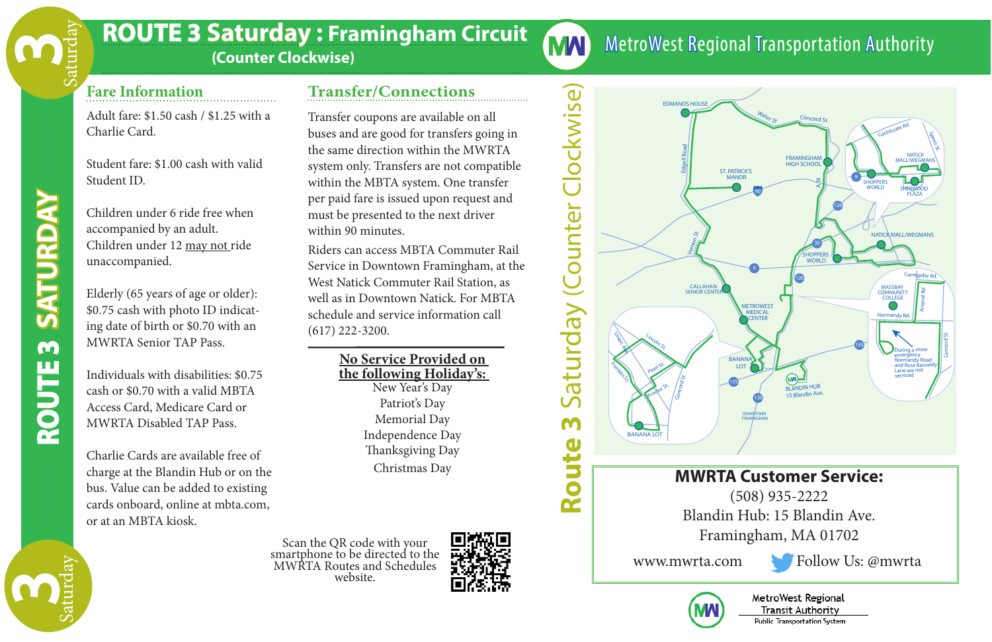### **ROUTE 3 Saturday : Framingham Circuit**

 **(Counter Clockwise)**

### **Fare Information**

Adult fare: \$1.50 cash / \$1.25 with a Charlie Card.

Student fare: \$1.00 cash with valid Student ID.

Children under 6 ride free when accompanied by an adult. Children under 12 may not ride unaccompanied.

Elderly (65 years of age or older): \$0.75 cash with photo ID indicating date of birth or \$0.70 with an MWRTA Senior TAP Pass.

Individuals with disabilities: \$0.75 cash or \$0.70 with a valid MBTA Access Card, Medicare Card or MWRTA Disabled TAP Pass.

Charlie Cards are available free of charge at the Blandin Hub or on the bus. Value can be added to existing cards onboard, online at mbta.com, or at an MBTA kiosk.

#### **Transfer/Connections**

Transfer coupons are available on all buses and are good for transfers going in the same direction within the MWRTA system only. Transfers are not compatible within the MBTA system. One transfer per paid fare is issued upon request and must be presented to the next driver within 90 minutes.

**MAI** 

≃

Riders can access MBTA Commuter Rail Service in Downtown Framingham, at the West Natick Commuter Rail Station, as well as in Downtown Natick. For MBTA schedule and service information call (617) 222-3200.

> **No Service Provided on the following Holiday's:** New Year's Day Patriot's Day Memorial Day Independence Day Thanksgiving Day Christmas Day

website.





MetroWest Regional Transportation Authority

(508) 935-2222 Blandin Hub: 15 Blandin Ave. Framingham, MA 01702

www.mwrta.com Follow Us: @mwrta



**OUT**M<br>Ш

**SATU**

**UR DAY**

**SAT**

**RDAY**

M

Saturday